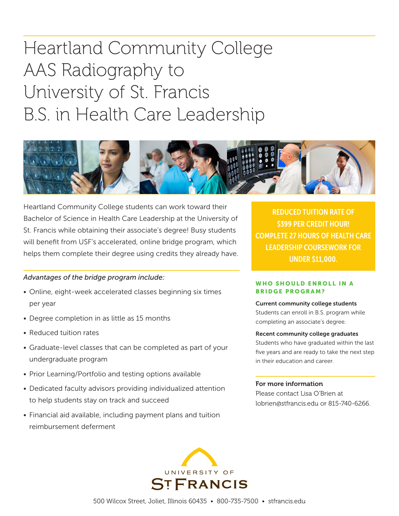# Heartland Community College AAS Radiography to University of St. Francis B.S. in Health Care Leadership



Heartland Community College students can work toward their Bachelor of Science in Health Care Leadership at the University of St. Francis while obtaining their associate's degree! Busy students will benefit from USF's accelerated, online bridge program, which helps them complete their degree using credits they already have.

#### *Advantages of the bridge program include:*

- Online, eight-week accelerated classes beginning six times per year
- Degree completion in as little as 15 months
- Reduced tuition rates
- Graduate-level classes that can be completed as part of your undergraduate program
- Prior Learning/Portfolio and testing options available
- Dedicated faculty advisors providing individualized attention to help students stay on track and succeed
- Financial aid available, including payment plans and tuition reimbursement deferment

REDUCED TUITION RATE OF \$399 PER CREDIT HOUR! COMPLETE 27 HOURS OF HEALTH CARE LEADERSHIP COURSEWORK FOR UNDER \$11,000.

#### WHO SHOULD ENROLL IN A BRIDGE PROGRAM?

### Current community college students

Students can enroll in B.S. program while completing an associate's degree.

#### Recent community college graduates

Students who have graduated within the last five years and are ready to take the next step in their education and career.

#### For more information

Please contact Lisa O'Brien at lobrien@stfrancis.edu or 815-740-6266.